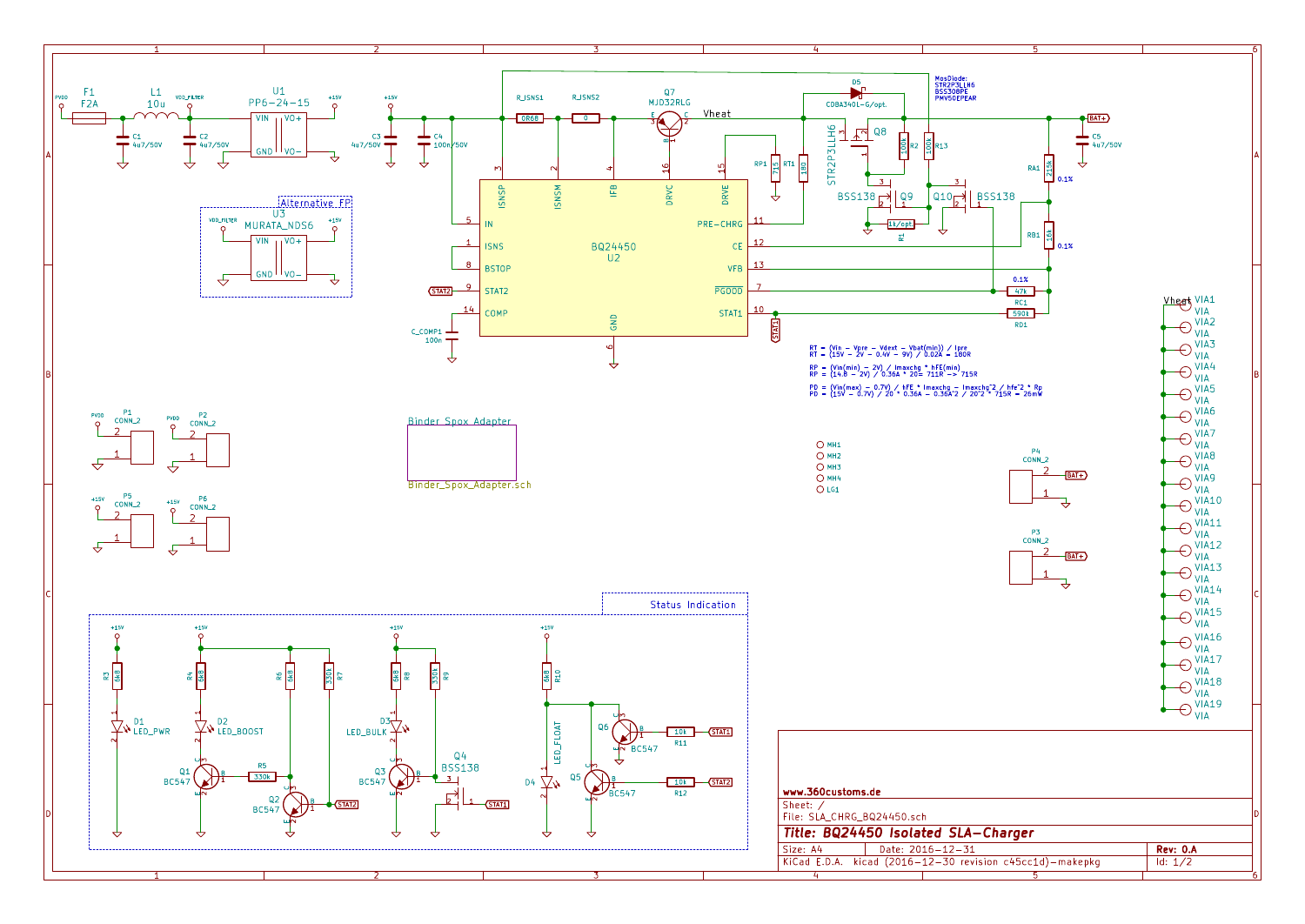